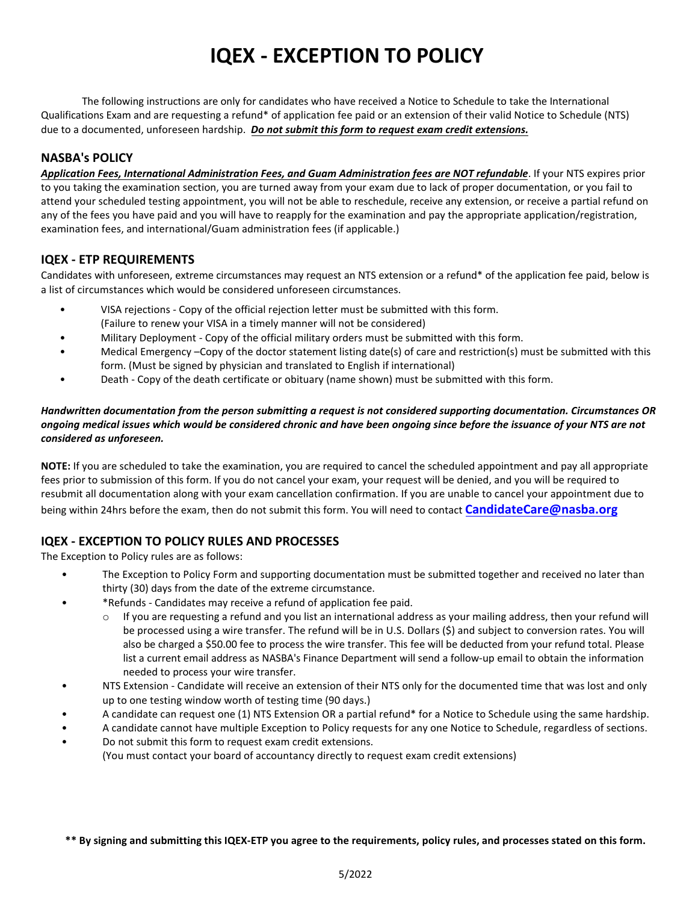# **IQEX - EXCEPTION TO POLICY**

The following instructions are only for candidates who have received a Notice to Schedule to take the International Qualifications Exam and are requesting a refund\* of application fee paid or an extension of their valid Notice to Schedule (NTS) due to a documented, unforeseen hardship. *Do not submit this form to request exam credit extensions.*

## **NASBA's POLICY**

*Application Fees, International Administration Fees, and Guam Administration fees are NOT refundable*. If your NTS expires prior to you taking the examination section, you are turned away from your exam due to lack of proper documentation, or you fail to attend your scheduled testing appointment, you will not be able to reschedule, receive any extension, or receive a partial refund on any of the fees you have paid and you will have to reapply for the examination and pay the appropriate application/registration, examination fees, and international/Guam administration fees (if applicable.)

### **IQEX - ETP REQUIREMENTS**

Candidates with unforeseen, extreme circumstances may request an NTS extension or a refund\* of the application fee paid, below is a list of circumstances which would be considered unforeseen circumstances.

- VISA rejections Copy of the official rejection letter must be submitted with this form. (Failure to renew your VISA in a timely manner will not be considered)
- Military Deployment Copy of the official military orders must be submitted with this form.
- Medical Emergency –Copy of the doctor statement listing date(s) of care and restriction(s) must be submitted with this form. (Must be signed by physician and translated to English if international)
- Death Copy of the death certificate or obituary (name shown) must be submitted with this form.

#### *Handwritten documentation from the person submitting a request is not considered supporting documentation. Circumstances OR ongoing medical issues which would be considered chronic and have been ongoing since before the issuance of your NTS are not considered as unforeseen.*

**NOTE:** If you are scheduled to take the examination, you are required to cancel the scheduled appointment and pay all appropriate fees prior to submission of this form. If you do not cancel your exam, your request will be denied, and you will be required to resubmit all documentation along with your exam cancellation confirmation. If you are unable to cancel your appointment due to being within 24hrs before the exam, then do not submit this form. You will need to contact **[CandidateCare@nasba](mailto:CandidateCare@nasba.org).org**

# **IQEX - EXCEPTION TO POLICY RULES AND PROCESSES**

The Exception to Policy rules are as follows:

- The Exception to Policy Form and supporting documentation must be submitted together and received no later than thirty (30) days from the date of the extreme circumstance.
- \*Refunds Candidates may receive a refund of application fee paid.
	- If you are requesting a refund and you list an international address as your mailing address, then your refund will be processed using a wire transfer. The refund will be in U.S. Dollars (\$) and subject to conversion rates. You will also be charged a \$50.00 fee to process the wire transfer. This fee will be deducted from your refund total. Please list a current email address as NASBA's Finance Department will send a follow-up email to obtain the information needed to process your wire transfer.
- NTS Extension Candidate will receive an extension of their NTS only for the documented time that was lost and only up to one testing window worth of testing time (90 days.)
- A candidate can request one (1) NTS Extension OR a partial refund\* for a Notice to Schedule using the same hardship.
- A candidate cannot have multiple Exception to Policy requests for any one Notice to Schedule, regardless of sections.
- Do not submit this form to request exam credit extensions. (You must contact your board of accountancy directly to request exam credit extensions)

**\*\* By signing and submitting this IQEX-ETP you agree to the requirements, policy rules, and processes stated on this form.**